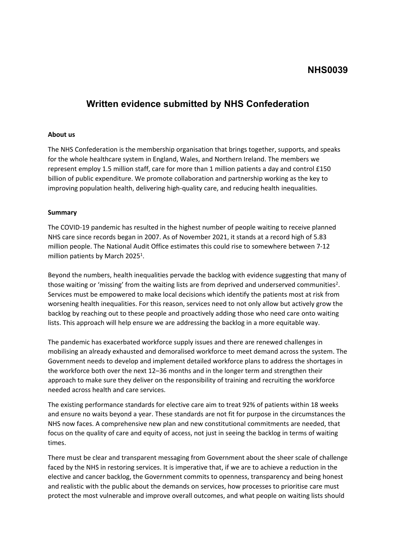## **NHS0039**

# **Written evidence submitted by NHS Confederation**

#### **About us**

The NHS Confederation is the membership organisation that brings together, supports, and speaks for the whole healthcare system in England, Wales, and Northern Ireland. The members we represent employ 1.5 million staff, care for more than 1 million patients a day and control £150 billion of public expenditure. We promote collaboration and partnership working as the key to improving population health, delivering high-quality care, and reducing health inequalities.

#### **Summary**

The COVID-19 pandemic has resulted in the highest number of people waiting to receive planned NHS care since records began in 2007. As of November 2021, it stands at a record high of 5.83 million people. The National Audit Office estimates this could rise to somewhere between 7-12 million patients by March 2025<sup>1</sup>.

Beyond the numbers, health inequalities pervade the backlog with evidence suggesting that many of those waiting or 'missing' from the waiting lists are from deprived and underserved communities<sup>2</sup>. Services must be empowered to make local decisions which identify the patients most at risk from worsening health inequalities. For this reason, services need to not only allow but actively grow the backlog by reaching out to these people and proactively adding those who need care onto waiting lists. This approach will help ensure we are addressing the backlog in a more equitable way.

The pandemic has exacerbated workforce supply issues and there are renewed challenges in mobilising an already exhausted and demoralised workforce to meet demand across the system. The Government needs to develop and implement detailed workforce plans to address the shortages in the workforce both over the next 12–36 months and in the longer term and strengthen their approach to make sure they deliver on the responsibility of training and recruiting the workforce needed across health and care services.

The existing performance standards for elective care aim to treat 92% of patients within 18 weeks and ensure no waits beyond a year. These standards are not fit for purpose in the circumstances the NHS now faces. A comprehensive new plan and new constitutional commitments are needed, that focus on the quality of care and equity of access, not just in seeing the backlog in terms of waiting times.

There must be clear and transparent messaging from Government about the sheer scale of challenge faced by the NHS in restoring services. It is imperative that, if we are to achieve a reduction in the elective and cancer backlog, the Government commits to openness, transparency and being honest and realistic with the public about the demands on services, how processes to prioritise care must protect the most vulnerable and improve overall outcomes, and what people on waiting lists should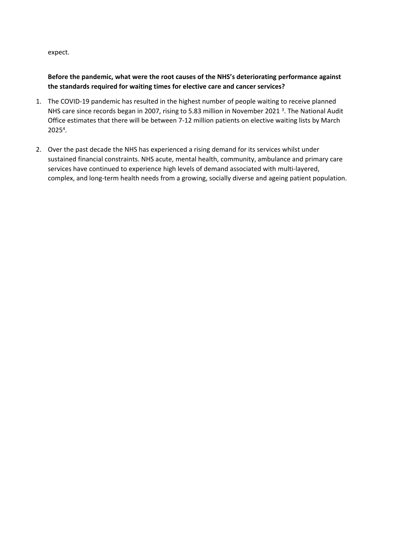expect.

## **Before the pandemic, what were the root causes of the NHS's deteriorating performance against the standards required for waiting times for elective care and cancer services?**

- 1. The COVID-19 pandemic has resulted in the highest number of people waiting to receive planned NHS care since records began in 2007, rising to 5.83 million in November 2021<sup>3</sup>. The National Audit Office estimates that there will be between 7-12 million patients on elective waiting lists by March 2025<sup>4</sup> .
- 2. Over the past decade the NHS has experienced a rising demand for its services whilst under sustained financial constraints. NHS acute, mental health, community, ambulance and primary care services have continued to experience high levels of demand associated with multi-layered, complex, and long-term health needs from a growing, socially diverse and ageing patient population.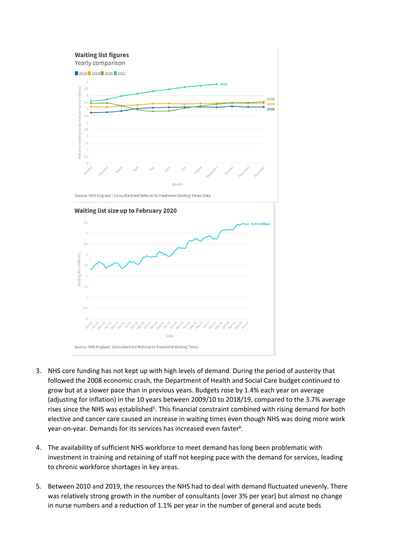

- 3. NHS core funding has not kept up with high levels of demand. During the period of austerity that followed the 2008 economic crash, the Department of Health and Social Care budget continued to grow but at a slower pace than in previous years. Budgets rose by 1.4% each year on average (adjusting for inflation) in the 10 years between 2009/10 to 2018/19, compared to the 3.7% average rises since the NHS was established<sup>5</sup>. This financial constraint combined with rising demand for both elective and cancer care caused an increase in waiting times even though NHS was doing more work year-on-year. Demands for its services has increased even faster<sup>6</sup>.
- 4. The availability of sufficient NHS workforce to meet demand has long been problematic with investment in training and retaining of staff not keeping pace with the demand for services, leading to chronic workforce shortages in key areas.
- 5. Between 2010 and 2019, the resources the NHS had to deal with demand fluctuated unevenly. There was relatively strong growth in the number of consultants (over 3% per year) but almost no change in nurse numbers and a reduction of 1.1% per year in the number of general and acute beds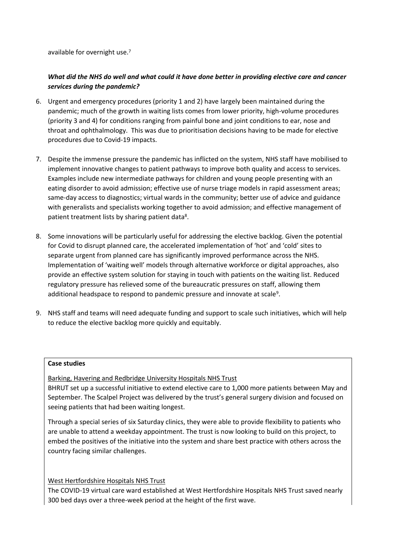available for overnight use.<sup>7</sup>

## What did the NHS do well and what could it have done better in providina elective care and cancer *services during the pandemic?*

- 6. Urgent and emergency procedures (priority 1 and 2) have largely been maintained during the pandemic; much of the growth in waiting lists comes from lower priority, high-volume procedures (priority 3 and 4) for conditions ranging from painful bone and joint conditions to ear, nose and throat and ophthalmology. This was due to prioritisation decisions having to be made for elective procedures due to Covid-19 impacts.
- 7. Despite the immense pressure the pandemic has inflicted on the system, NHS staff have mobilised to implement innovative changes to patient pathways to improve both quality and access to services. Examples include new intermediate pathways for children and young people presenting with an eating disorder to avoid admission; effective use of nurse triage models in rapid assessment areas; same-day access to diagnostics; virtual wards in the community; better use of advice and guidance with generalists and specialists working together to avoid admission; and effective management of patient treatment lists by sharing patient data<sup>8</sup>.
- 8. Some innovations will be particularly useful for addressing the elective backlog. Given the potential for Covid to disrupt planned care, the accelerated implementation of 'hot' and 'cold' sites to separate urgent from planned care has significantly improved performance across the NHS. Implementation of 'waiting well' models through alternative workforce or digital approaches, also provide an effective system solution for staying in touch with patients on the waiting list. Reduced regulatory pressure has relieved some of the bureaucratic pressures on staff, allowing them additional headspace to respond to pandemic pressure and innovate at scale<sup>9</sup>.
- 9. NHS staff and teams will need adequate funding and support to scale such initiatives, which will help to reduce the elective backlog more quickly and equitably.

#### **Case studies**

Barking, Havering and Redbridge University Hospitals NHS Trust

BHRUT set up a successful initiative to extend elective care to 1,000 more patients between May and September. The Scalpel Project was delivered by the trust's general surgery division and focused on seeing patients that had been waiting longest.

Through a special series of six Saturday clinics, they were able to provide flexibility to patients who are unable to attend a weekday appointment. The trust is now looking to build on this project, to embed the positives of the initiative into the system and share best practice with others across the country facing similar challenges.

#### West Hertfordshire Hospitals NHS Trust

The COVID-19 virtual care ward established at West Hertfordshire Hospitals NHS Trust saved nearly 300 bed days over a three-week period at the height of the first wave.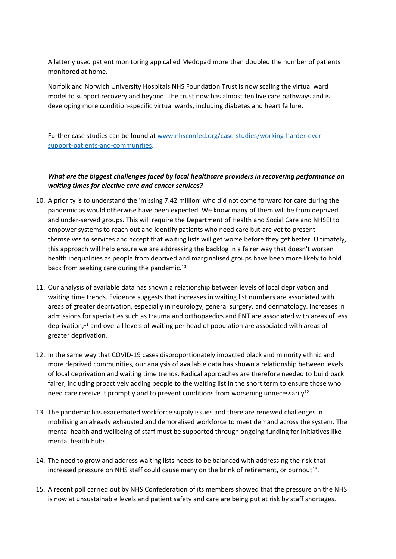A latterly used patient monitoring app called Medopad more than doubled the number of patients monitored at home.

Norfolk and Norwich University Hospitals NHS Foundation Trust is now scaling the virtual ward model to support recovery and beyond. The trust now has almost ten live care pathways and is developing more condition-specific virtual wards, including diabetes and heart failure.

Further case studies can be found at [www.nhsconfed.org/case-studies/working-harder-ever](http://www.nhsconfed.org/case-studies/working-harder-ever-support-patients-and-communities)[support-patients-and-communities](http://www.nhsconfed.org/case-studies/working-harder-ever-support-patients-and-communities).

## *What are the biggest challenges faced by local healthcare providers in recovering performance on waiting times for elective care and cancer services?*

- 10. A priority is to understand the 'missing 7.42 million' who did not come forward for care during the pandemic as would otherwise have been expected. We know many of them will be from deprived and under-served groups. This will require the Department of Health and Social Care and NHSEI to empower systems to reach out and identify patients who need care but are yet to present themselves to services and accept that waiting lists will get worse before they get better. Ultimately, this approach will help ensure we are addressing the backlog in a fairer way that doesn't worsen health inequalities as people from deprived and marginalised groups have been more likely to hold back from seeking care during the pandemic.<sup>10</sup>
- 11. Our analysis of available data has shown a relationship between levels of local deprivation and waiting time trends. Evidence suggests that increases in waiting list numbers are associated with areas of greater deprivation, especially in neurology, general surgery, and dermatology. Increases in admissions for specialties such as trauma and orthopaedics and ENT are associated with areas of less deprivation;<sup>11</sup> and overall levels of waiting per head of population are associated with areas of greater deprivation.
- 12. In the same way that COVID-19 cases disproportionately impacted black and minority ethnic and more deprived communities, our analysis of available data has shown a relationship between levels of local deprivation and waiting time trends. Radical approaches are therefore needed to build back fairer, including proactively adding people to the waiting list in the short term to ensure those who need care receive it promptly and to prevent conditions from worsening unnecessarily<sup>12</sup>.
- 13. The pandemic has exacerbated workforce supply issues and there are renewed challenges in mobilising an already exhausted and demoralised workforce to meet demand across the system. The mental health and wellbeing of staff must be supported through ongoing funding for initiatives like mental health hubs.
- 14. The need to grow and address waiting lists needs to be balanced with addressing the risk that increased pressure on NHS staff could cause many on the brink of retirement, or burnout<sup>13</sup>.
- 15. A recent poll carried out by NHS Confederation of its members showed that the pressure on the NHS is now at unsustainable levels and patient safety and care are being put at risk by staff shortages.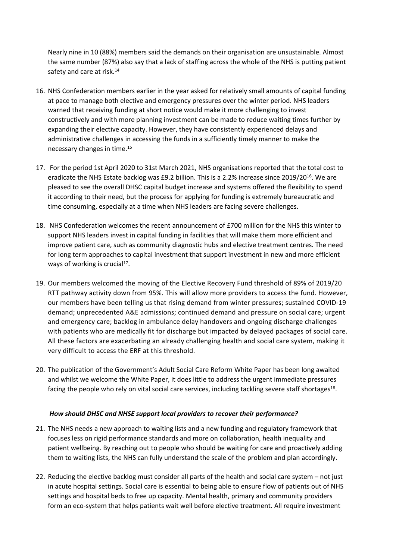Nearly nine in 10 (88%) members said the demands on their organisation are unsustainable. Almost the same number (87%) also say that a lack of staffing across the whole of the NHS is putting patient safety and care at risk.<sup>14</sup>

- 16. NHS Confederation members earlier in the year asked for relatively small amounts of capital funding at pace to manage both elective and emergency pressures over the winter period. NHS leaders warned that receiving funding at short notice would make it more challenging to invest constructively and with more planning investment can be made to reduce waiting times further by expanding their elective capacity. However, they have consistently experienced delays and administrative challenges in accessing the funds in a sufficiently timely manner to make the necessary changes in time.<sup>15</sup>
- 17. For the period 1st April 2020 to 31st March 2021, NHS organisations reported that the total cost to eradicate the NHS Estate backlog was £9.2 billion. This is a 2.2% increase since 2019/20<sup>16</sup>. We are pleased to see the overall DHSC capital budget increase and systems offered the flexibility to spend it according to their need, but the process for applying for funding is extremely bureaucratic and time consuming, especially at a time when NHS leaders are facing severe challenges.
- 18. NHS Confederation welcomes the recent announcement of £700 million for the NHS this winter to support NHS leaders invest in capital funding in facilities that will make them more efficient and improve patient care, such as community diagnostic hubs and elective treatment centres. The need for long term approaches to capital investment that support investment in new and more efficient ways of working is crucial<sup>17</sup>.
- 19. Our members welcomed the moving of the Elective Recovery Fund threshold of 89% of 2019/20 RTT pathway activity down from 95%. This will allow more providers to access the fund. However, our members have been telling us that rising demand from winter pressures; sustained COVID-19 demand; unprecedented A&E admissions; continued demand and pressure on social care; urgent and emergency care; backlog in ambulance delay handovers and ongoing discharge challenges with patients who are medically fit for discharge but impacted by delayed packages of social care. All these factors are exacerbating an already challenging health and social care system, making it very difficult to access the ERF at this threshold.
- 20. The publication of the Government's Adult Social Care Reform White Paper has been long awaited and whilst we welcome the White Paper, it does little to address the urgent immediate pressures facing the people who rely on vital social care services, including tackling severe staff shortages<sup>18</sup>.

### *How should DHSC and NHSE support local providers to recover their performance?*

- 21. The NHS needs a new approach to waiting lists and a new funding and regulatory framework that focuses less on rigid performance standards and more on collaboration, health inequality and patient wellbeing. By reaching out to people who should be waiting for care and proactively adding them to waiting lists, the NHS can fully understand the scale of the problem and plan accordingly.
- 22. Reducing the elective backlog must consider all parts of the health and social care system not just in acute hospital settings. Social care is essential to being able to ensure flow of patients out of NHS settings and hospital beds to free up capacity. Mental health, primary and community providers form an eco-system that helps patients wait well before elective treatment. All require investment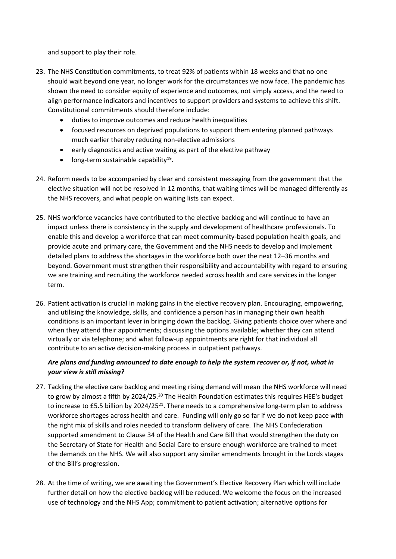and support to play their role.

- 23. The NHS Constitution commitments, to treat 92% of patients within 18 weeks and that no one should wait beyond one year, no longer work for the circumstances we now face. The pandemic has shown the need to consider equity of experience and outcomes, not simply access, and the need to align performance indicators and incentives to support providers and systems to achieve this shift. Constitutional commitments should therefore include:
	- duties to improve outcomes and reduce health inequalities
	- focused resources on deprived populations to support them entering planned pathways much earlier thereby reducing non-elective admissions
	- early diagnostics and active waiting as part of the elective pathway
	- long-term sustainable capability<sup>19</sup>.
- 24. Reform needs to be accompanied by clear and consistent messaging from the government that the elective situation will not be resolved in 12 months, that waiting times will be managed differently as the NHS recovers, and what people on waiting lists can expect.
- 25. NHS workforce vacancies have contributed to the elective backlog and will continue to have an impact unless there is consistency in the supply and development of healthcare professionals. To enable this and develop a workforce that can meet community-based population health goals, and provide acute and primary care, the Government and the NHS needs to develop and implement detailed plans to address the shortages in the workforce both over the next 12–36 months and beyond. Government must strengthen their responsibility and accountability with regard to ensuring we are training and recruiting the workforce needed across health and care services in the longer term.
- 26. Patient activation is crucial in making gains in the elective recovery plan. Encouraging, empowering, and utilising the knowledge, skills, and confidence a person has in managing their own health conditions is an important lever in bringing down the backlog. Giving patients choice over where and when they attend their appointments; discussing the options available; whether they can attend virtually or via telephone; and what follow-up appointments are right for that individual all contribute to an active decision-making process in outpatient pathways.

## *Are plans and funding announced to date enough to help the system recover or, if not, what in your view is still missing?*

- 27. Tackling the elective care backlog and meeting rising demand will mean the NHS workforce will need to grow by almost a fifth by 2024/25.<sup>20</sup> The Health Foundation estimates this requires HEE's budget to increase to £5.5 billion by 2024/25<sup>21</sup>. There needs to a comprehensive long-term plan to address workforce shortages across health and care. Funding will only go so far if we do not keep pace with the right mix of skills and roles needed to transform delivery of care. The NHS Confederation supported amendment to Clause 34 of the Health and Care Bill that would strengthen the duty on the Secretary of State for Health and Social Care to ensure enough workforce are trained to meet the demands on the NHS. We will also support any similar amendments brought in the Lords stages of the Bill's progression.
- 28. At the time of writing, we are awaiting the Government's Elective Recovery Plan which will include further detail on how the elective backlog will be reduced. We welcome the focus on the increased use of technology and the NHS App; commitment to patient activation; alternative options for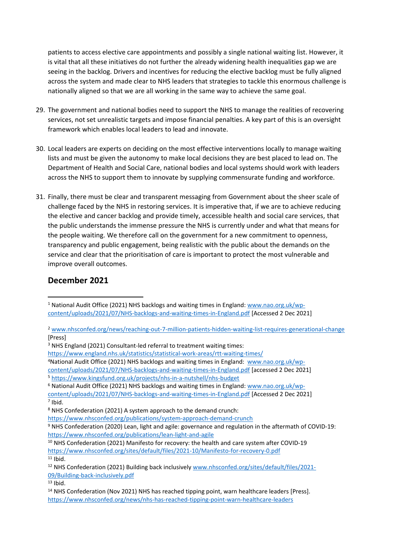patients to access elective care appointments and possibly a single national waiting list. However, it is vital that all these initiatives do not further the already widening health inequalities gap we are seeing in the backlog. Drivers and incentives for reducing the elective backlog must be fully aligned across the system and made clear to NHS leaders that strategies to tackle this enormous challenge is nationally aligned so that we are all working in the same way to achieve the same goal.

- 29. The government and national bodies need to support the NHS to manage the realities of recovering services, not set unrealistic targets and impose financial penalties. A key part of this is an oversight framework which enables local leaders to lead and innovate.
- 30. Local leaders are experts on deciding on the most effective interventions locally to manage waiting lists and must be given the autonomy to make local decisions they are best placed to lead on. The Department of Health and Social Care, national bodies and local systems should work with leaders across the NHS to support them to innovate by supplying commensurate funding and workforce.
- 31. Finally, there must be clear and transparent messaging from Government about the sheer scale of challenge faced by the NHS in restoring services. It is imperative that, if we are to achieve reducing the elective and cancer backlog and provide timely, accessible health and social care services, that the public understands the immense pressure the NHS is currently under and what that means for the people waiting. We therefore call on the government for a new commitment to openness, transparency and public engagement, being realistic with the public about the demands on the service and clear that the prioritisation of care is important to protect the most vulnerable and improve overall outcomes.

## **December 2021**

<sup>3</sup> NHS England (2021) Consultant-led referral to treatment waiting times:

<sup>4</sup>National Audit Office (2021) NHS backlogs and waiting times in England: [www.nao.org.uk/wp-](http://www.nao.org.uk/wp-content/uploads/2021/07/NHS-backlogs-and-waiting-times-in-England.pdf)

[content/uploads/2021/07/NHS-backlogs-and-waiting-times-in-England.pdf](http://www.nao.org.uk/wp-content/uploads/2021/07/NHS-backlogs-and-waiting-times-in-England.pdf) [accessed 2 Dec 2021]

<sup>5</sup> <https://www.kingsfund.org.uk/projects/nhs-in-a-nutshell/nhs-budget>

<sup>6</sup> National Audit Office (2021) NHS backlogs and waiting times in England: [www.nao.org.uk/wp-](http://www.nao.org.uk/wp-content/uploads/2021/07/NHS-backlogs-and-waiting-times-in-England.pdf)

 $11$  Ibid.

 $13$  Ibid.

<sup>&</sup>lt;sup>1</sup> National Audit Office (2021) NHS backlogs and waiting times in England: [www.nao.org.uk/wp](http://www.nao.org.uk/wp-content/uploads/2021/07/NHS-backlogs-and-waiting-times-in-England.pdf)[content/uploads/2021/07/NHS-backlogs-and-waiting-times-in-England.pdf](http://www.nao.org.uk/wp-content/uploads/2021/07/NHS-backlogs-and-waiting-times-in-England.pdf) [Accessed 2 Dec 2021]

<sup>2</sup> [www.nhsconfed.org/news/reaching-out-7-million-patients-hidden-waiting-list-requires-generational-change](http://www.nhsconfed.org/news/reaching-out-7-million-patients-hidden-waiting-list-requires-generational-change) [Press]

<https://www.england.nhs.uk/statistics/statistical-work-areas/rtt-waiting-times/>

[content/uploads/2021/07/NHS-backlogs-and-waiting-times-in-England.pdf](http://www.nao.org.uk/wp-content/uploads/2021/07/NHS-backlogs-and-waiting-times-in-England.pdf) [\[Accessed](http://www.nao.org.uk/wp-content/uploads/2021/07/NHS-backlogs-and-waiting-times-in-England.pdf) [2](http://www.nao.org.uk/wp-content/uploads/2021/07/NHS-backlogs-and-waiting-times-in-England.pdf) [Dec](http://www.nao.org.uk/wp-content/uploads/2021/07/NHS-backlogs-and-waiting-times-in-England.pdf) [2021\]](http://www.nao.org.uk/wp-content/uploads/2021/07/NHS-backlogs-and-waiting-times-in-England.pdf) 7 Ibid.

<sup>8</sup> NHS Confederation (2021) A system approach to the demand crunch:

<https://www.nhsconfed.org/publications/system-approach-demand-crunch>

<sup>9</sup> NHS Confederation (2020) Lean, light and agile: governance and regulation in the aftermath of COVID-19: <https://www.nhsconfed.org/publications/lean-light-and-agile>

<sup>&</sup>lt;sup>10</sup> NHS Confederation (2021) Manifesto for recovery: the health and care system after COVID-19 <https://www.nhsconfed.org/sites/default/files/2021-10/Manifesto-for-recovery-0.pdf>

<sup>12</sup> NHS Confederation (2021) Building back inclusively [www.nhsconfed.org/sites/default/files/2021-](http://www.nhsconfed.org/sites/default/files/2021-09/Building-back-inclusively.pdf) [09/Building-back-inclusively.pdf](http://www.nhsconfed.org/sites/default/files/2021-09/Building-back-inclusively.pdf)

<sup>&</sup>lt;sup>14</sup> NHS Confederation (Nov 2021) NHS has reached tipping point, warn healthcare leaders [Press]. <https://www.nhsconfed.org/news/nhs-has-reached-tipping-point-warn-healthcare-leaders>